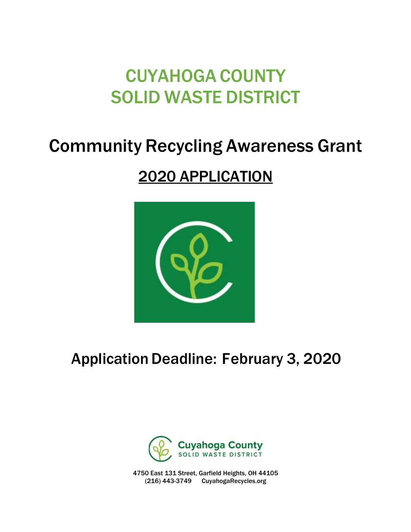# CUYAHOGA COUNTY SOLID WASTE DISTRICT

## Community Recycling Awareness Grant

## 2020 APPLICATION



Application Deadline: February 3, 2020



4750 East 131 Street, Garfield Heights, OH 44105 (216) 443-3749 CuyahogaRecycles.org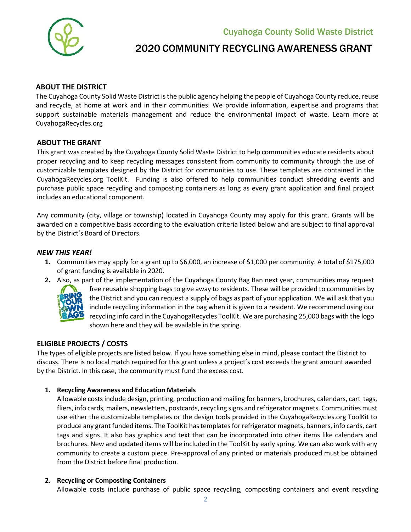Cuyahoga County Solid Waste District



### 2020 COMMUNITY RECYCLING AWARENESS GRANT

#### **ABOUT THE DISTRICT**

The Cuyahoga County Solid Waste District is the public agency helping the people of Cuyahoga County reduce, reuse and recycle, at home at work and in their communities. We provide information, expertise and programs that support sustainable materials management and reduce the environmental impact of waste. Learn more at CuyahogaRecycles.org

#### **ABOUT THE GRANT**

This grant was created by the Cuyahoga County Solid Waste District to help communities educate residents about proper recycling and to keep recycling messages consistent from community to community through the use of customizable templates designed by the District for communities to use. These templates are contained in the CuyahogaRecycles.org ToolKit. Funding is also offered to help communities conduct shredding events and purchase public space recycling and composting containers as long as every grant application and final project includes an educational component.

Any community (city, village or township) located in Cuyahoga County may apply for this grant. Grants will be awarded on a competitive basis according to the evaluation criteria listed below and are subject to final approval by the District's Board of Directors.

#### *NEW THIS YEAR!*

- **1.** Communities may apply for a grant up to \$6,000, an increase of \$1,000 per community. A total of \$175,000 of grant funding is available in 2020.
- **2.** Also, as part of the implementation of the Cuyahoga County Bag Ban next year, communities may request



free reusable shopping bags to give away to residents. These will be provided to communities by the District and you can request a supply of bags as part of your application. We will ask that you include recycling information in the bag when it is given to a resident. We recommend using our recycling info card in the CuyahogaRecycles ToolKit. We are purchasing 25,000 bags with the logo shown here and they will be available in the spring.

#### **ELIGIBLE PROJECTS / COSTS**

The types of eligible projects are listed below. If you have something else in mind, please contact the District to discuss. There is no local match required for this grant unless a project's cost exceeds the grant amount awarded by the District. In this case, the community must fund the excess cost.

#### **1. Recycling Awareness and Education Materials**

Allowable costs include design, printing, production and mailing for banners, brochures, calendars, cart tags, fliers, info cards, mailers, newsletters, postcards, recycling signs and refrigerator magnets. Communities must use either the customizable templates or the design tools provided in the CuyahogaRecycles.org ToolKit to produce any grant funded items. The ToolKit hastemplates for refrigerator magnets, banners, info cards, cart tags and signs. It also has graphics and text that can be incorporated into other items like calendars and brochures. New and updated items will be included in the ToolKit by early spring. We can also work with any community to create a custom piece. Pre-approval of any printed or materials produced must be obtained from the District before final production.

#### **2. Recycling or Composting Containers**

Allowable costs include purchase of public space recycling, composting containers and event recycling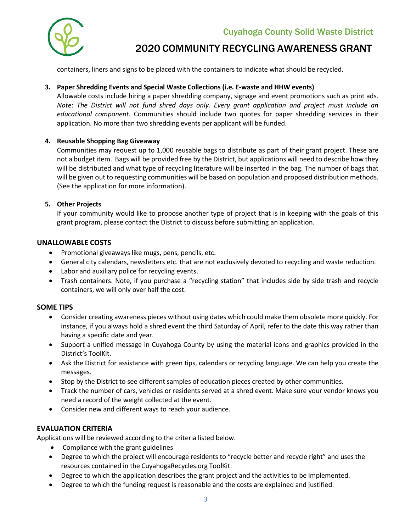Cuyahoga County Solid Waste District



## 2020 COMMUNITY RECYCLING AWARENESS GRANT

containers, liners and signs to be placed with the containers to indicate what should be recycled.

#### **3. Paper Shredding Events and Special Waste Collections (i.e. E-waste and HHW events)**

Allowable costs include hiring a paper shredding company, signage and event promotions such as print ads. *Note*: *The District will not fund shred days only. Every grant application and project must include an educational component.* Communities should include two quotes for paper shredding services in their application. No more than two shredding events per applicant will be funded.

#### **4. Reusable Shopping Bag Giveaway**

Communities may request up to 1,000 reusable bags to distribute as part of their grant project. These are not a budget item. Bags will be provided free by the District, but applications will need to describe how they will be distributed and what type of recycling literature will be inserted in the bag. The number of bags that will be given out to requesting communities will be based on population and proposed distribution methods. (See the application for more information).

#### **5. Other Projects**

If your community would like to propose another type of project that is in keeping with the goals of this grant program, please contact the District to discuss before submitting an application.

#### **UNALLOWABLE COSTS**

- Promotional giveaways like mugs, pens, pencils, etc.
- General city calendars, newsletters etc. that are not exclusively devoted to recycling and waste reduction.
- Labor and auxiliary police for recycling events.
- Trash containers. Note, if you purchase a "recycling station" that includes side by side trash and recycle containers, we will only over half the cost.

#### **SOME TIPS**

- Consider creating awareness pieces without using dates which could make them obsolete more quickly. For instance, if you always hold a shred event the third Saturday of April, refer to the date this way rather than having a specific date and year.
- Support a unified message in Cuyahoga County by using the material icons and graphics provided in the District's ToolKit.
- Ask the District for assistance with green tips, calendars or recycling language. We can help you create the messages.
- Stop by the District to see different samples of education pieces created by other communities.
- Track the number of cars, vehicles or residents served at a shred event. Make sure your vendor knows you need a record of the weight collected at the event.
- Consider new and different ways to reach your audience.

#### **EVALUATION CRITERIA**

Applications will be reviewed according to the criteria listed below.

- Compliance with the grant guidelines
- Degree to which the project will encourage residents to "recycle better and recycle right" and uses the resources contained in the CuyahogaRecycles.org ToolKit.
- Degree to which the application describes the grant project and the activities to be implemented.
- Degree to which the funding request is reasonable and the costs are explained and justified.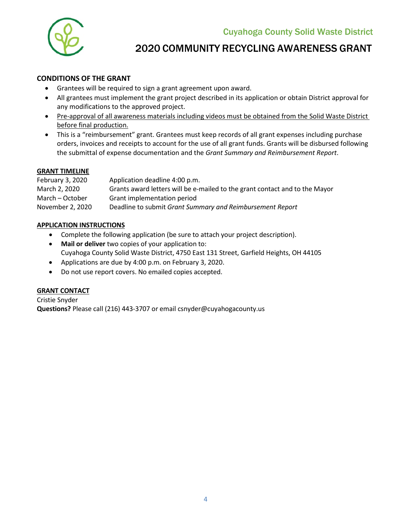

### 2020 COMMUNITY RECYCLING AWARENESS GRANT

#### **CONDITIONS OF THE GRANT**

- Grantees will be required to sign a grant agreement upon award.
- All grantees must implement the grant project described in its application or obtain District approval for any modifications to the approved project.
- Pre-approval of all awareness materials including videos must be obtained from the Solid Waste District before final production.
- This is a "reimbursement" grant. Grantees must keep records of all grant expenses including purchase orders, invoices and receipts to account for the use of all grant funds. Grants will be disbursed following the submittal of expense documentation and the *Grant Summary and Reimbursement Report*.

#### **GRANT TIMELINE**

| Application deadline 4:00 p.m.                                              |
|-----------------------------------------------------------------------------|
| Grants award letters will be e-mailed to the grant contact and to the Mayor |
| Grant implementation period                                                 |
| Deadline to submit Grant Summary and Reimbursement Report                   |
|                                                                             |

#### **APPLICATION INSTRUCTIONS**

- Complete the following application (be sure to attach your project description).
- **Mail or deliver** two copies of your application to: Cuyahoga County Solid Waste District, 4750 East 131 Street, Garfield Heights, OH 44105
- Applications are due by 4:00 p.m. on February 3, 2020.
- Do not use report covers. No emailed copies accepted.

#### **GRANT CONTACT**

Cristie Snyder **Questions?** Please call (216) 443-3707 or email [csnyder@cuyahogacounty.us](mailto:csnyder@cuyahogacounty.us)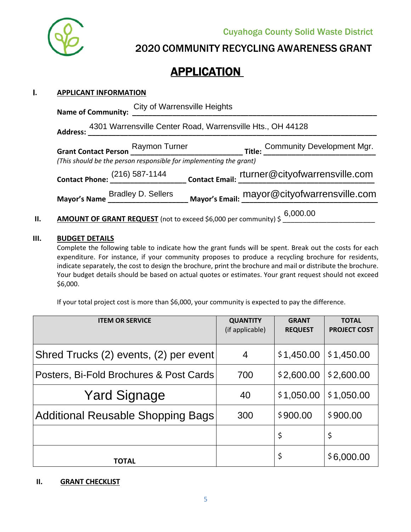

2020 COMMUNITY RECYCLING AWARENESS GRANT

## **APPLICATION**

#### I**. APPLICANT INFORMATION**

| Name of Community: City of Warrensville Heights                           |                                                                               |  |  |  |  |  |
|---------------------------------------------------------------------------|-------------------------------------------------------------------------------|--|--|--|--|--|
| Address: 4301 Warrensville Center Road, Warrensville Hts., OH 44128       |                                                                               |  |  |  |  |  |
|                                                                           |                                                                               |  |  |  |  |  |
| (This should be the person responsible for implementing the grant)        |                                                                               |  |  |  |  |  |
|                                                                           | Contact Phone: (216) 587-1144<br>Contact Email: Turner@cityofwarrensville.com |  |  |  |  |  |
|                                                                           | Mayor's Name Bradley D. Sellers Mayor's Email: mayor@cityofwarrensville.com   |  |  |  |  |  |
| AMOUNT OF GRANT REQUEST (not to exceed \$6,000 per community) \$ 6,000.00 |                                                                               |  |  |  |  |  |

#### **III. BUDGET DETAILS**

Complete the following table to indicate how the grant funds will be spent. Break out the costs for each expenditure. For instance, if your community proposes to produce a recycling brochure for residents, indicate separately, the cost to design the brochure, print the brochure and mail or distribute the brochure. Your budget details should be based on actual quotes or estimates. Your grant request should not exceed \$6,000.

If your total project cost is more than \$6,000, your community is expected to pay the difference.

| <b>ITEM OR SERVICE</b>                   | <b>QUANTITY</b><br>(if applicable) | <b>GRANT</b><br><b>REQUEST</b> | <b>TOTAL</b><br><b>PROJECT COST</b> |
|------------------------------------------|------------------------------------|--------------------------------|-------------------------------------|
| Shred Trucks (2) events, (2) per event   | 4                                  | \$1,450.00                     | \$1,450.00                          |
| Posters, Bi-Fold Brochures & Post Cards  | 700                                | \$2,600.00                     | \$2,600.00                          |
| <b>Yard Signage</b>                      | 40                                 | \$1,050.00                     | \$1,050.00                          |
| <b>Additional Reusable Shopping Bags</b> | 300                                | \$900.00                       | \$900.00                            |
|                                          |                                    | \$                             | \$                                  |
| TOTAL                                    |                                    | \$                             | \$6,000.00                          |

#### **II. GRANT CHECKLIST**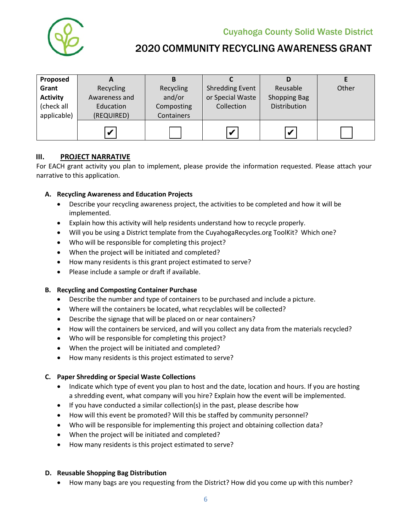

Cuyahoga County Solid Waste District

## 2020 COMMUNITY RECYCLING AWARENESS GRANT

| Proposed        | A             | в          |                        |                         |       |
|-----------------|---------------|------------|------------------------|-------------------------|-------|
| Grant           | Recycling     | Recycling  | <b>Shredding Event</b> | Reusable                | Other |
| <b>Activity</b> | Awareness and | and/or     | or Special Waste       | <b>Shopping Bag</b>     |       |
| (check all      | Education     | Composting | Collection             | Distribution            |       |
| applicable)     | (REQUIRED)    | Containers |                        |                         |       |
|                 | $\mathbf v$   |            |                        |                         |       |
|                 |               |            | $\mathbf v$            | $\overline{\mathbf{v}}$ |       |

#### **III. PROJECT NARRATIVE**

For EACH grant activity you plan to implement, please provide the information requested. Please attach your narrative to this application.

#### **A. Recycling Awareness and Education Projects**

- Describe your recycling awareness project, the activities to be completed and how it will be implemented.
- Explain how this activity will help residents understand how to recycle properly.
- Will you be using a District template from the CuyahogaRecycles.org ToolKit? Which one?
- Who will be responsible for completing this project?
- When the project will be initiated and completed?
- How many residents is this grant project estimated to serve?
- Please include a sample or draft if available.

#### **B. Recycling and Composting Container Purchase**

- Describe the number and type of containers to be purchased and include a picture.
- Where will the containers be located, what recyclables will be collected?
- Describe the signage that will be placed on or near containers?
- How will the containers be serviced, and will you collect any data from the materials recycled?
- Who will be responsible for completing this project?
- When the project will be initiated and completed?
- How many residents is this project estimated to serve?

#### **C. Paper Shredding or Special Waste Collections**

- Indicate which type of event you plan to host and the date, location and hours. If you are hosting a shredding event, what company will you hire? Explain how the event will be implemented.
- If you have conducted a similar collection(s) in the past, please describe how
- How will this event be promoted? Will this be staffed by community personnel?
- Who will be responsible for implementing this project and obtaining collection data?
- When the project will be initiated and completed?
- How many residents is this project estimated to serve?

#### **D. Reusable Shopping Bag Distribution**

• How many bags are you requesting from the District? How did you come up with this number?